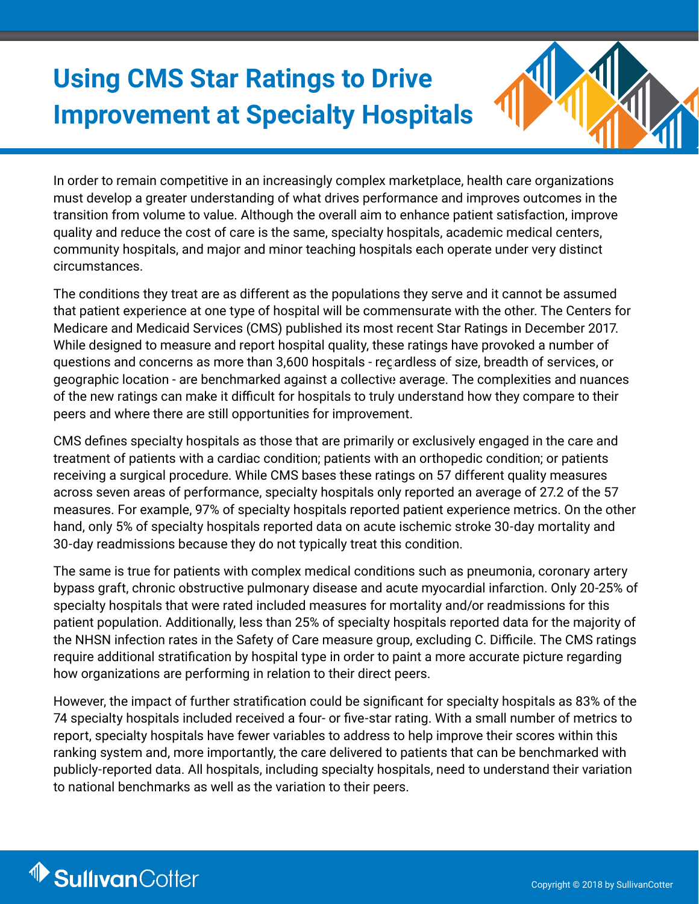# **Using CMS Star Ratings to Drive Improvement at Specialty Hospitals**



In order to remain competitive in an increasingly complex marketplace, health care organizations must develop a greater understanding of what drives performance and improves outcomes in the transition from volume to value. Although the overall aim to enhance patient satisfaction, improve quality and reduce the cost of care is the same, specialty hospitals, academic medical centers, community hospitals, and major and minor teaching hospitals each operate under very distinct circumstances.

The conditions they treat are as different as the populations they serve and it cannot be assumed that patient experience at one type of hospital will be commensurate with the other. The Centers for Medicare and Medicaid Services (CMS) published its most recent Star Ratings in December 2017. While designed to measure and report hospital quality, these ratings have provoked a number of questions and concerns as more than 3,600 hospitals - regardless of size, breadth of services, or geographic location - are benchmarked against a collective average. The complexities and nuances of the new ratings can make it difficult for hospitals to truly understand how they compare to their peers and where there are still opportunities for improvement.

CMS defines specialty hospitals as those that are primarily or exclusively engaged in the care and treatment of patients with a cardiac condition; patients with an orthopedic condition; or patients receiving a surgical procedure. While CMS bases these ratings on 57 different quality measures across seven areas of performance, specialty hospitals only reported an average of 27.2 of the 57 measures. For example, 97% of specialty hospitals reported patient experience metrics. On the other hand, only 5% of specialty hospitals reported data on acute ischemic stroke 30-day mortality and 30-day readmissions because they do not typically treat this condition.

The same is true for patients with complex medical conditions such as pneumonia, coronary artery bypass graft, chronic obstructive pulmonary disease and acute myocardial infarction. Only 20-25% of specialty hospitals that were rated included measures for mortality and/or readmissions for this patient population. Additionally, less than 25% of specialty hospitals reported data for the majority of the NHSN infection rates in the Safety of Care measure group, excluding C. Difficile. The CMS ratings require additional stratification by hospital type in order to paint a more accurate picture regarding how organizations are performing in relation to their direct peers.

However, the impact of further stratification could be significant for specialty hospitals as 83% of the 74 specialty hospitals included received a four- or five-star rating. With a small number of metrics to report, specialty hospitals have fewer variables to address to help improve their scores within this ranking system and, more importantly, the care delivered to patients that can be benchmarked with publicly-reported data. All hospitals, including specialty hospitals, need to understand their variation to national benchmarks as well as the variation to their peers.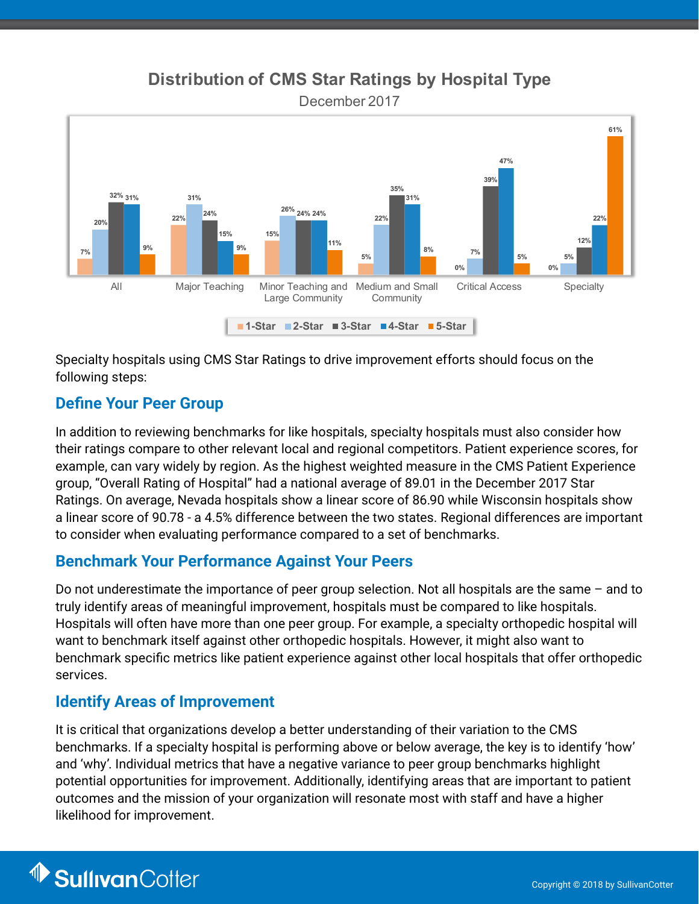## **Distribution of CMS Star Ratings by Hospital Type**

December 2017



Specialty hospitals using CMS Star Ratings to drive improvement efforts should focus on the following steps:

### **Define Your Peer Group**

In addition to reviewing benchmarks for like hospitals, specialty hospitals must also consider how their ratings compare to other relevant local and regional competitors. Patient experience scores, for example, can vary widely by region. As the highest weighted measure in the CMS Patient Experience group, "Overall Rating of Hospital" had a national average of 89.01 in the December 2017 Star Ratings. On average, Nevada hospitals show a linear score of 86.90 while Wisconsin hospitals show a linear score of 90.78 - a 4.5% difference between the two states. Regional differences are important to consider when evaluating performance compared to a set of benchmarks.

## **Benchmark Your Performance Against Your Peers**

Do not underestimate the importance of peer group selection. Not all hospitals are the same – and to truly identify areas of meaningful improvement, hospitals must be compared to like hospitals. Hospitals will often have more than one peer group. For example, a specialty orthopedic hospital will want to benchmark itself against other orthopedic hospitals. However, it might also want to benchmark specific metrics like patient experience against other local hospitals that offer orthopedic services.

## **Identify Areas of Improvement**

It is critical that organizations develop a better understanding of their variation to the CMS benchmarks. If a specialty hospital is performing above or below average, the key is to identify 'how' and 'why'. Individual metrics that have a negative variance to peer group benchmarks highlight potential opportunities for improvement. Additionally, identifying areas that are important to patient outcomes and the mission of your organization will resonate most with staff and have a higher likelihood for improvement.